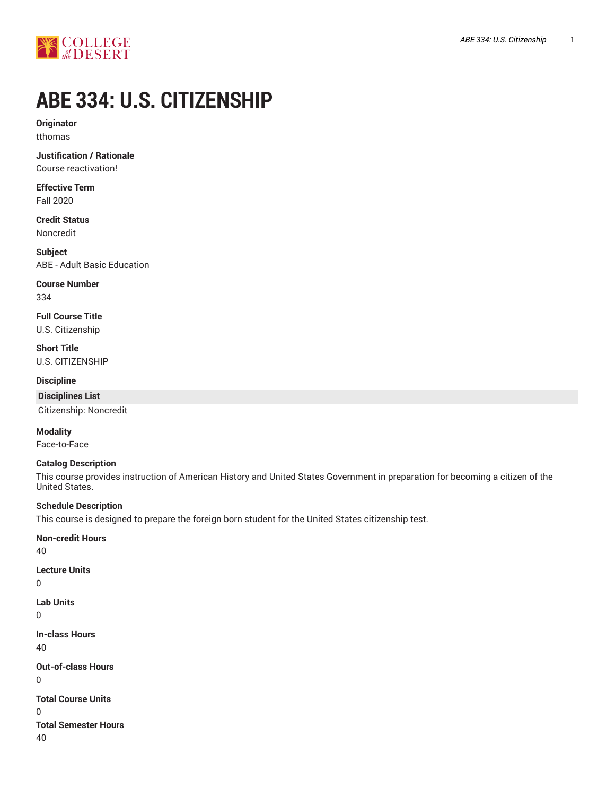

# **ABE 334: U.S. CITIZENSHIP**

**Originator** tthomas

**Justification / Rationale** Course reactivation!

**Effective Term** Fall 2020

**Credit Status** Noncredit

**Subject** ABE - Adult Basic Education

**Course Number**

334

**Full Course Title** U.S. Citizenship

**Short Title** U.S. CITIZENSHIP

**Discipline**

**Disciplines List**

Citizenship: Noncredit

**Modality**

Face-to-Face

## **Catalog Description**

This course provides instruction of American History and United States Government in preparation for becoming a citizen of the United States.

## **Schedule Description**

This course is designed to prepare the foreign born student for the United States citizenship test.

**Non-credit Hours** 40 **Lecture Units**  $\Omega$ **Lab Units** 0 **In-class Hours** 40 **Out-of-class Hours** 0 **Total Course Units** 0 **Total Semester Hours** 40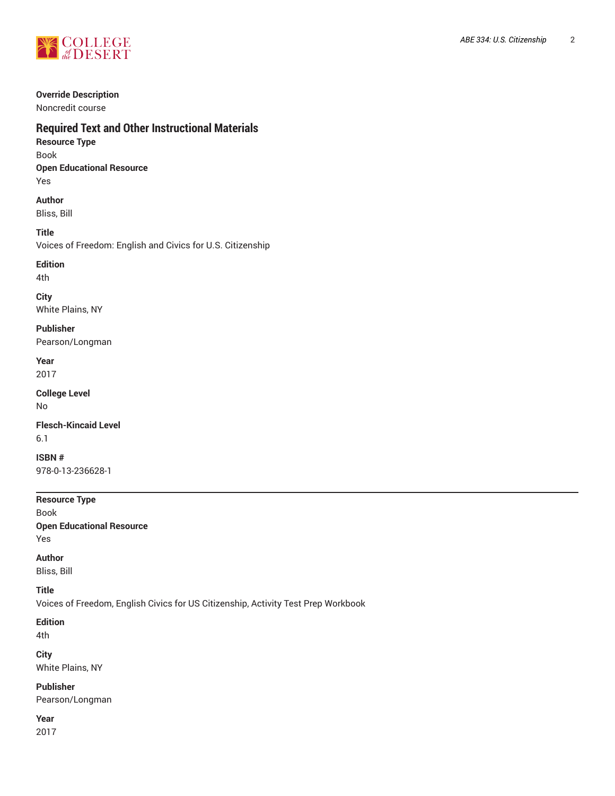

#### **Override Description**

Noncredit course

## **Required Text and Other Instructional Materials**

- **Resource Type** Book **Open Educational Resource**
- Yes

## **Author** Bliss, Bill

## **Title**

Voices of Freedom: English and Civics for U.S. Citizenship

## **Edition**

4th

## **City**

White Plains, NY

**Publisher** Pearson/Longman

**Year** 2017

### **College Level** No

**Flesch-Kincaid Level** 6.1

**ISBN #** 978-0-13-236628-1

**Resource Type** Book **Open Educational Resource**

## Yes

## **Author**

Bliss, Bill

## **Title**

Voices of Freedom, English Civics for US Citizenship, Activity Test Prep Workbook

## **Edition**

4th

## **City**

White Plains, NY

## **Publisher**

Pearson/Longman

### **Year** 2017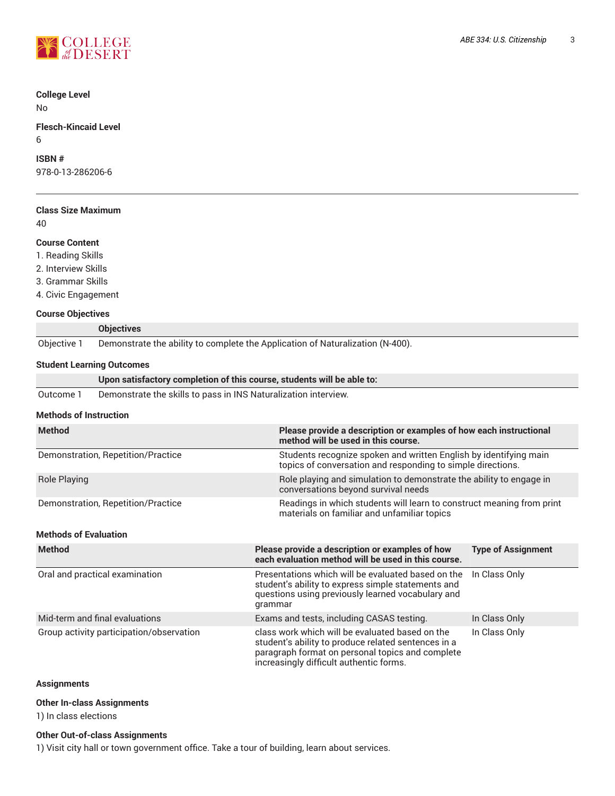

## **College Level**

No

### **Flesch-Kincaid Level** 6

## **ISBN #**

978-0-13-286206-6

|    | <b>Class Size Maximum</b> |
|----|---------------------------|
| 40 |                           |

### **Course Content**

- 1. Reading Skills
- 2. Interview Skills
- 3. Grammar Skills
- 4. Civic Engagement

## **Course Objectives**

|             | <b>Objectives</b>                                                              |
|-------------|--------------------------------------------------------------------------------|
| Objective 1 | Demonstrate the ability to complete the Application of Naturalization (N-400). |

## **Student Learning Outcomes**

|           | Upon satisfactory completion of this course, students will be able to: |
|-----------|------------------------------------------------------------------------|
| Outcome 1 | Demonstrate the skills to pass in INS Naturalization interview.        |

#### **Methods of Instruction**

| <b>Method</b>                      | Please provide a description or examples of how each instructional<br>method will be used in this course.                        |
|------------------------------------|----------------------------------------------------------------------------------------------------------------------------------|
| Demonstration, Repetition/Practice | Students recognize spoken and written English by identifying main<br>topics of conversation and responding to simple directions. |
| Role Playing                       | Role playing and simulation to demonstrate the ability to engage in<br>conversations beyond survival needs                       |
| Demonstration, Repetition/Practice | Readings in which students will learn to construct meaning from print<br>materials on familiar and unfamiliar topics             |

## **Methods of Evaluation**

| <b>Method</b>                            | Please provide a description or examples of how<br>each evaluation method will be used in this course.                                                                                                | <b>Type of Assignment</b> |
|------------------------------------------|-------------------------------------------------------------------------------------------------------------------------------------------------------------------------------------------------------|---------------------------|
| Oral and practical examination           | Presentations which will be evaluated based on the<br>student's ability to express simple statements and<br>questions using previously learned vocabulary and<br>grammar                              | In Class Only             |
| Mid-term and final evaluations           | Exams and tests, including CASAS testing.                                                                                                                                                             | In Class Only             |
| Group activity participation/observation | class work which will be evaluated based on the<br>student's ability to produce related sentences in a<br>paragraph format on personal topics and complete<br>increasingly difficult authentic forms. | In Class Only             |

## **Assignments**

#### **Other In-class Assignments**

1) In class elections

### **Other Out-of-class Assignments**

1) Visit city hall or town government office. Take a tour of building, learn about services.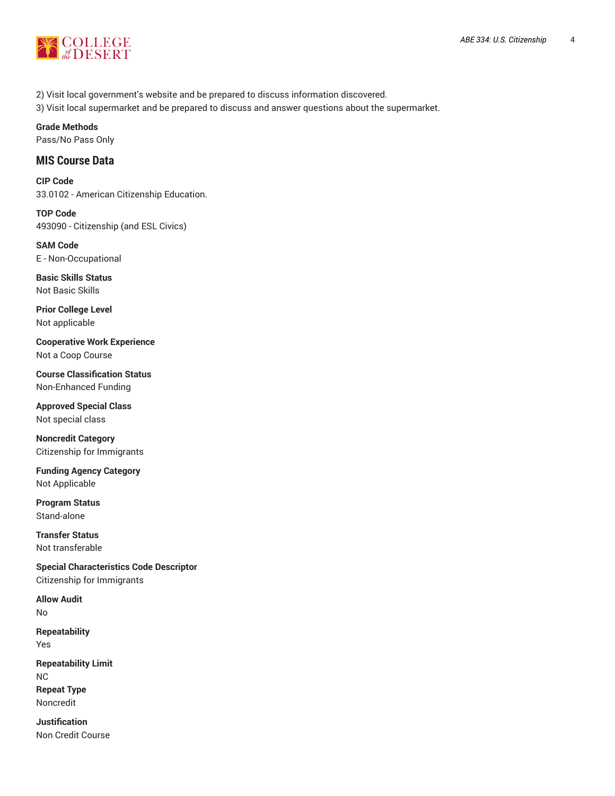

2) Visit local government's website and be prepared to discuss information discovered.

3) Visit local supermarket and be prepared to discuss and answer questions about the supermarket.

## **Grade Methods**

Pass/No Pass Only

## **MIS Course Data**

**CIP Code** 33.0102 - American Citizenship Education.

**TOP Code** 493090 - Citizenship (and ESL Civics)

**SAM Code** E - Non-Occupational

**Basic Skills Status** Not Basic Skills

**Prior College Level** Not applicable

**Cooperative Work Experience** Not a Coop Course

**Course Classification Status** Non-Enhanced Funding

**Approved Special Class** Not special class

**Noncredit Category** Citizenship for Immigrants

**Funding Agency Category** Not Applicable

**Program Status** Stand-alone

**Transfer Status** Not transferable

**Special Characteristics Code Descriptor** Citizenship for Immigrants

**Allow Audit** No

**Repeatability** Yes

**Repeatability Limit** NC **Repeat Type** Noncredit

**Justification** Non Credit Course